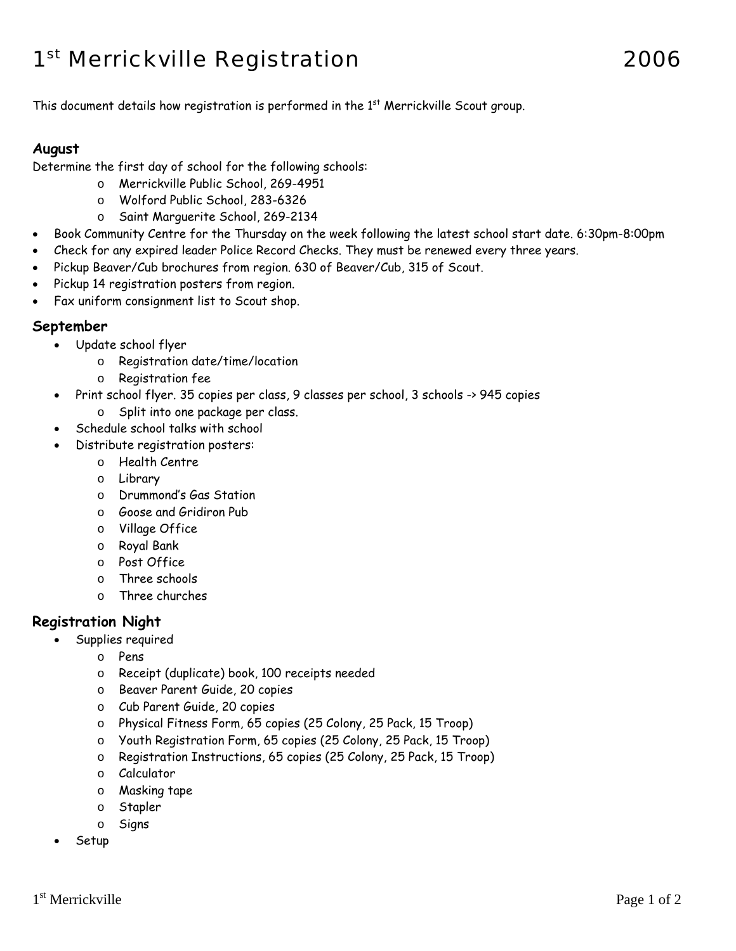# 1st Merrickville Registration 2006

This document details how registration is performed in the  $1<sup>st</sup>$  Merrickville Scout group.

#### **August**

Determine the first day of school for the following schools:

- o Merrickville Public School, 269-4951
- o Wolford Public School, 283-6326
- o Saint Marguerite School, 269-2134
- Book Community Centre for the Thursday on the week following the latest school start date. 6:30pm-8:00pm
- Check for any expired leader Police Record Checks. They must be renewed every three years.
- Pickup Beaver/Cub brochures from region. 630 of Beaver/Cub, 315 of Scout.
- Pickup 14 registration posters from region.
- Fax uniform consignment list to Scout shop.

#### **September**

- Update school flyer
	- o Registration date/time/location
	- o Registration fee
- Print school flyer. 35 copies per class, 9 classes per school, 3 schools -> 945 copies o Split into one package per class.
- Schedule school talks with school
- Distribute registration posters:
	- o Health Centre
	- o Library
	- o Drummond's Gas Station
	- o Goose and Gridiron Pub
	- o Village Office
	- o Royal Bank
	- o Post Office
	- o Three schools
	- o Three churches

### **Registration Night**

- Supplies required
	- o Pens
	- o Receipt (duplicate) book, 100 receipts needed
	- o Beaver Parent Guide, 20 copies
	- o Cub Parent Guide, 20 copies
	- o Physical Fitness Form, 65 copies (25 Colony, 25 Pack, 15 Troop)
	- o Youth Registration Form, 65 copies (25 Colony, 25 Pack, 15 Troop)
	- o Registration Instructions, 65 copies (25 Colony, 25 Pack, 15 Troop)
	- o Calculator
	- o Masking tape
	- o Stapler
	- o Signs
- Setup